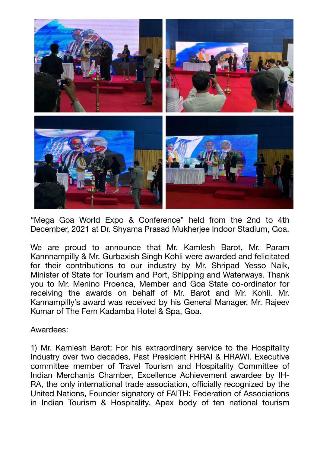

"Mega Goa World Expo & Conference" held from the 2nd to 4th December, 2021 at Dr. Shyama Prasad Mukherjee Indoor Stadium, Goa.

We are proud to announce that Mr. Kamlesh Barot, Mr. Param Kannnampilly & Mr. Gurbaxish Singh Kohli were awarded and felicitated for their contributions to our industry by Mr. Shripad Yesso Naik, Minister of State for Tourism and Port, Shipping and Waterways. Thank you to Mr. Menino Proenca, Member and Goa State co-ordinator for receiving the awards on behalf of Mr. Barot and Mr. Kohli. Mr. Kannampilly's award was received by his General Manager, Mr. Rajeev Kumar of The Fern Kadamba Hotel & Spa, Goa.

Awardees:

1) Mr. Kamlesh Barot: For his extraordinary service to the Hospitality Industry over two decades, Past President FHRAI & HRAWI. Executive committee member of Travel Tourism and Hospitality Committee of Indian Merchants Chamber, Excellence Achievement awardee by IH-RA, the only international trade association, officially recognized by the United Nations, Founder signatory of FAITH: Federation of Associations in Indian Tourism & Hospitality. Apex body of ten national tourism